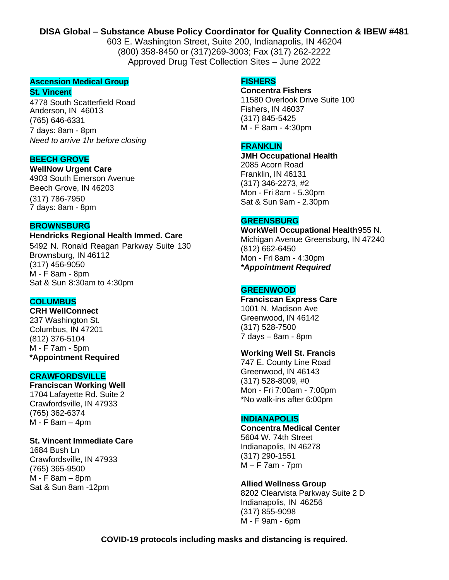# **DISA Global – Substance Abuse Policy Coordinator for Quality Connection & IBEW #481**

603 E. Washington Street, Suite 200, Indianapolis, IN 46204 (800) 358-8450 or (317)269-3003; Fax (317) 262-2222 Approved Drug Test Collection Sites – June 2022

# **Ascension Medical Group**

**St. Vincent**

4778 South Scatterfield Road Anderson, IN 46013 (765) 646-6331 7 days: 8am - 8pm *Need to arrive 1hr before closing*

# **BEECH GROVE**

**WellNow Urgent Care**

4903 South Emerson Avenue Beech Grove, IN 46203 (317) 786-7950 7 days: 8am - 8pm

### **BROWNSBURG**

**Hendricks Regional Health Immed. Care**

5492 N. Ronald Reagan Parkway Suite 130 Brownsburg, IN 46112 (317) 456-9050 M - F 8am - 8pm Sat & Sun 8:30am to 4:30pm

# **COLUMBUS**

**CRH WellConnect** 237 Washington St. Columbus, IN 47201 (812) 376-5104 M - F 7am - 5pm **\*Appointment Required** 

### **CRAWFORDSVILLE**

**Franciscan Working Well** 1704 Lafayette Rd. Suite 2 Crawfordsville, IN 47933 (765) 362-6374 M - F 8am – 4pm

### **St. Vincent Immediate Care**

1684 Bush Ln Crawfordsville, IN 47933 (765) 365-9500 M - F 8am – 8pm Sat & Sun 8am -12pm

#### **FISHERS**

**Concentra Fishers** 11580 Overlook Drive Suite 100 Fishers, IN 46037 (317) 845-5425 M - F 8am - 4:30pm

# **FRANKLIN**

**JMH Occupational Health** 2085 Acorn Road Franklin, IN 46131 (317) 346-2273, #2 Mon - Fri 8am - 5.30pm Sat & Sun 9am - 2.30pm

#### **GREENSBURG**

**WorkWell Occupational Health**955 N. Michigan Avenue Greensburg, IN 47240 (812) 662-6450 Mon - Fri 8am - 4:30pm *\*Appointment Required*

### **GREENWOOD**

**Franciscan Express Care**  1001 N. Madison Ave Greenwood, IN 46142 (317) 528-7500 7 days – 8am - 8pm

### **Working Well St. Francis**

747 E. County Line Road Greenwood, IN 46143 (317) 528-8009, #0 Mon - Fri 7:00am - 7:00pm \*No walk-ins after 6:00pm

## **INDIANAPOLIS**

**Concentra Medical Center** 5604 W. 74th Street Indianapolis, IN 46278 (317) 290-1551 M – F 7am - 7pm

### **Allied Wellness Group**

8202 Clearvista Parkway Suite 2 D Indianapolis, IN 46256 (317) 855-9098 M - F 9am - 6pm

**COVID-19 protocols including masks and distancing is required.**